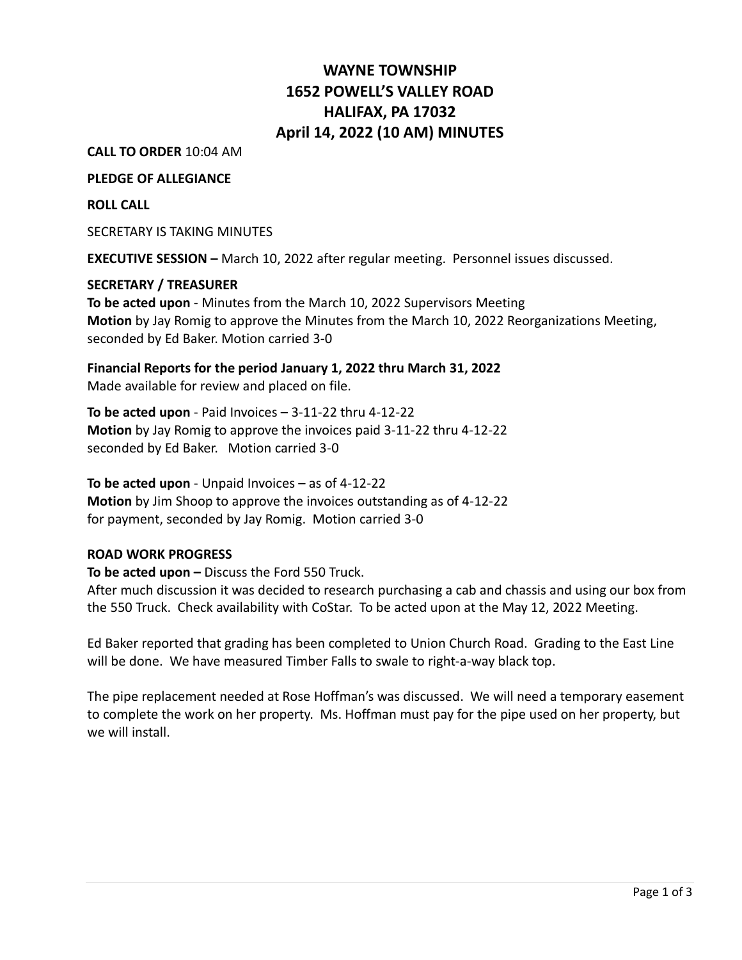# **WAYNE TOWNSHIP 1652 POWELL'S VALLEY ROAD HALIFAX, PA 17032 April 14, 2022 (10 AM) MINUTES**

**CALL TO ORDER** 10:04 AM

**PLEDGE OF ALLEGIANCE**

**ROLL CALL**

SECRETARY IS TAKING MINUTES

**EXECUTIVE SESSION –** March 10, 2022 after regular meeting. Personnel issues discussed.

#### **SECRETARY / TREASURER**

**To be acted upon** - Minutes from the March 10, 2022 Supervisors Meeting **Motion** by Jay Romig to approve the Minutes from the March 10, 2022 Reorganizations Meeting, seconded by Ed Baker. Motion carried 3-0

**Financial Reports for the period January 1, 2022 thru March 31, 2022** Made available for review and placed on file.

**To be acted upon** - Paid Invoices – 3-11-22 thru 4-12-22 **Motion** by Jay Romig to approve the invoices paid 3-11-22 thru 4-12-22 seconded by Ed Baker. Motion carried 3-0

**To be acted upon** - Unpaid Invoices – as of 4-12-22 **Motion** by Jim Shoop to approve the invoices outstanding as of 4-12-22 for payment, seconded by Jay Romig. Motion carried 3-0

#### **ROAD WORK PROGRESS**

**To be acted upon –** Discuss the Ford 550 Truck. After much discussion it was decided to research purchasing a cab and chassis and using our box from the 550 Truck. Check availability with CoStar. To be acted upon at the May 12, 2022 Meeting.

Ed Baker reported that grading has been completed to Union Church Road. Grading to the East Line will be done. We have measured Timber Falls to swale to right-a-way black top.

The pipe replacement needed at Rose Hoffman's was discussed. We will need a temporary easement to complete the work on her property. Ms. Hoffman must pay for the pipe used on her property, but we will install.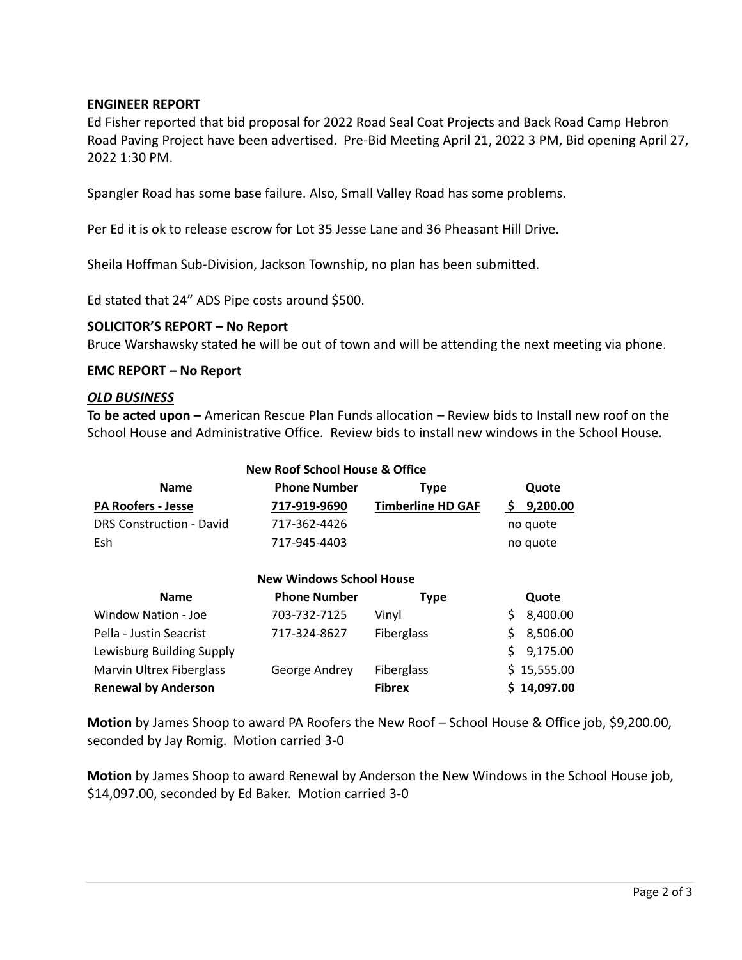# **ENGINEER REPORT**

Ed Fisher reported that bid proposal for 2022 Road Seal Coat Projects and Back Road Camp Hebron Road Paving Project have been advertised. Pre-Bid Meeting April 21, 2022 3 PM, Bid opening April 27, 2022 1:30 PM.

Spangler Road has some base failure. Also, Small Valley Road has some problems.

Per Ed it is ok to release escrow for Lot 35 Jesse Lane and 36 Pheasant Hill Drive.

Sheila Hoffman Sub-Division, Jackson Township, no plan has been submitted.

Ed stated that 24" ADS Pipe costs around \$500.

# **SOLICITOR'S REPORT – No Report**

Bruce Warshawsky stated he will be out of town and will be attending the next meeting via phone.

## **EMC REPORT – No Report**

## *OLD BUSINESS*

**To be acted upon –** American Rescue Plan Funds allocation – Review bids to Install new roof on the School House and Administrative Office. Review bids to install new windows in the School House.

|                                 | New Roof School House & Office  |                          |                |
|---------------------------------|---------------------------------|--------------------------|----------------|
| <b>Name</b>                     | <b>Phone Number</b>             | <b>Type</b>              | Quote          |
| <b>PA Roofers - Jesse</b>       | 717-919-9690                    | <b>Timberline HD GAF</b> | 9,200.00<br>Ş. |
| <b>DRS Construction - David</b> | 717-362-4426                    |                          | no quote       |
| Esh                             | 717-945-4403                    |                          | no quote       |
|                                 | <b>New Windows School House</b> |                          |                |
| <b>Name</b>                     | <b>Phone Number</b>             | <b>Type</b>              | Quote          |
| <b>Window Nation - Joe</b>      | 703-732-7125                    | Vinyl                    | \$<br>8,400.00 |
| Pella - Justin Seacrist         | 717-324-8627                    | Fiberglass               | \$<br>8,506.00 |
| Lewisburg Building Supply       |                                 |                          | \$<br>9,175.00 |
| <b>Marvin Ultrex Fiberglass</b> | George Andrey                   | Fiberglass               | \$15,555.00    |
| <b>Renewal by Anderson</b>      |                                 | <b>Fibrex</b>            | 14,097.00<br>S |

**New Roof** School Control of the Office

**Motion** by James Shoop to award PA Roofers the New Roof – School House & Office job, \$9,200.00, seconded by Jay Romig. Motion carried 3-0

**Motion** by James Shoop to award Renewal by Anderson the New Windows in the School House job, \$14,097.00, seconded by Ed Baker. Motion carried 3-0